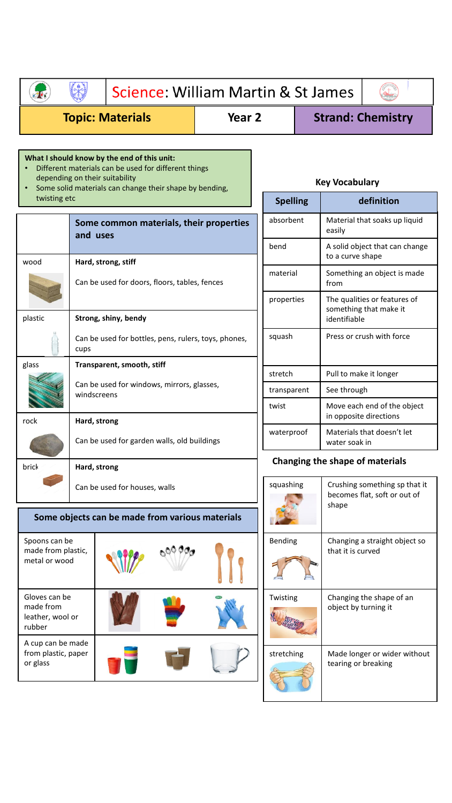| Science: William Martin & St James                                      |                                                                                         |                                                                                                     |  |                       |                           |                                                                                     |                                                                           |                          |  |  |
|-------------------------------------------------------------------------|-----------------------------------------------------------------------------------------|-----------------------------------------------------------------------------------------------------|--|-----------------------|---------------------------|-------------------------------------------------------------------------------------|---------------------------------------------------------------------------|--------------------------|--|--|
| <b>Topic: Materials</b>                                                 |                                                                                         |                                                                                                     |  | Year 2                |                           |                                                                                     |                                                                           | <b>Strand: Chemistry</b> |  |  |
|                                                                         | depending on their suitability                                                          | What I should know by the end of this unit:<br>Different materials can be used for different things |  | <b>Key Vocabulary</b> |                           |                                                                                     |                                                                           |                          |  |  |
| Some solid materials can change their shape by bending,<br>twisting etc |                                                                                         |                                                                                                     |  |                       |                           | <b>Spelling</b>                                                                     | definition                                                                |                          |  |  |
|                                                                         | Some common materials, their properties<br>and uses                                     |                                                                                                     |  |                       |                           | absorbent<br>bend                                                                   | Material that soaks up liquid<br>easily<br>A solid object that can change |                          |  |  |
| wood                                                                    |                                                                                         | Hard, strong, stiff                                                                                 |  |                       |                           |                                                                                     | to a curve shape                                                          |                          |  |  |
|                                                                         | Can be used for doors, floors, tables, fences                                           |                                                                                                     |  |                       |                           | material                                                                            | Something an object is made<br>from                                       |                          |  |  |
| plastic                                                                 |                                                                                         | Strong, shiny, bendy                                                                                |  |                       |                           | properties                                                                          | The qualities or features of<br>something that make it<br>identifiable    |                          |  |  |
|                                                                         | cups                                                                                    | Can be used for bottles, pens, rulers, toys, phones,                                                |  | squash                | Press or crush with force |                                                                                     |                                                                           |                          |  |  |
| glass                                                                   | Transparent, smooth, stiff<br>Can be used for windows, mirrors, glasses,<br>windscreens |                                                                                                     |  |                       |                           | stretch                                                                             | Pull to make it longer                                                    |                          |  |  |
|                                                                         |                                                                                         |                                                                                                     |  |                       |                           | transparent                                                                         | See through                                                               |                          |  |  |
| rock                                                                    | Hard, strong                                                                            |                                                                                                     |  |                       |                           | twist                                                                               | Move each end of the object<br>in opposite directions                     |                          |  |  |
|                                                                         |                                                                                         | Can be used for garden walls, old buildings                                                         |  |                       |                           | waterproof                                                                          | Materials that doesn't let<br>water soak in                               |                          |  |  |
| brick                                                                   | Hard, strong                                                                            |                                                                                                     |  |                       |                           | Changing the shape of materials                                                     |                                                                           |                          |  |  |
|                                                                         | Can be used for houses, walls                                                           |                                                                                                     |  |                       |                           | squashing<br>Crushing something sp that it<br>becomes flat, soft or out of<br>shape |                                                                           |                          |  |  |
|                                                                         |                                                                                         | Some objects can be made from various materials                                                     |  |                       |                           |                                                                                     |                                                                           |                          |  |  |
| Spoons can be<br>made from plastic,<br>metal or wood                    |                                                                                         |                                                                                                     |  |                       |                           | Bending                                                                             | Changing a straight object so<br>that it is curved                        |                          |  |  |
| Gloves can be<br>made from<br>leather, wool or<br>rubber                |                                                                                         |                                                                                                     |  |                       |                           | Twisting                                                                            | object by turning it                                                      | Changing the shape of an |  |  |
| A cup can be made<br>from plastic, paper<br>or glass                    |                                                                                         |                                                                                                     |  |                       |                           | stretching                                                                          | Made longer or wider without<br>tearing or breaking                       |                          |  |  |